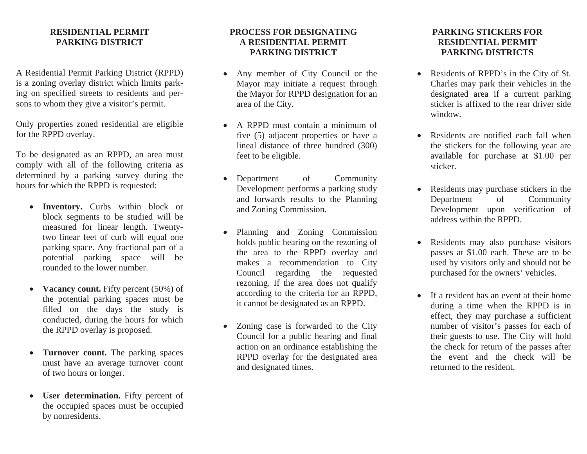## **RESIDENTIAL PERMIT PARKING DISTRICT**

A Residential Permit Parking District (RPPD) is a zoning overlay district which limits parking on specified streets to residents and persons to whom they give a visitor's permit.

Only properties zoned residential are eligible for the RPPD overlay.

To be designated as an RPPD, an area must comply with all of the following criteria as determined by a parking survey during the hours for which the RPPD is requested:

- **Inventory.** Curbs within block or block segments to be studied will be measured for linear length. Twentytwo linear feet of curb will equal one parking space. Any fractional part of a potential parking space will be rounded to the lower number.
- $\bullet$ **Vacancy count.** Fifty percent (50%) of the potential parking spaces must be filled on the days the study is conducted, during the hours for which the RPPD overlay is proposed.
- • **Turnover count.** The parking spaces must have an average turnover count of two hours or longer.
- $\bullet$ **User determination.** Fifty percent of the occupied spaces must be occupied by nonresidents.

## **PROCESS FOR DESIGNATINGA RESIDENTIAL PERMIT PARKING DISTRICT**

- $\bullet$  Any member of City Council or the Mayor may initiate a request through the Mayor for RPPD designation for an area of the City.
- A RPPD must contain a minimum of five (5) adjacent properties or have a lineal distance of three hundred (300) feet to be eligible.
- Department of Community Development performs a parking study and forwards results to the Planning and Zoning Commission.
- • Planning and Zoning Commission holds public hearing on the rezoning of the area to the RPPD overlay and makes a recommendation to City Council regarding the requested rezoning. If the area does not qualify according to the criteria for an RPPD, it cannot be designated as an RPPD.
- Zoning case is forwarded to the City Council for a public hearing and final action on an ordinance establishing the RPPD overlay for the designated area and designated times.

## **PARKING STICKERS FORRESIDENTIAL PERMIT PARKING DISTRICTS**

- Residents of RPPD's in the City of St. Charles may park their vehicles in the designated area if a current parking sticker is affixed to the rear driver side window.
- Residents are notified each fall when the stickers for the following year are available for purchase at \$1.00 per sticker.
- Residents may purchase stickers in the Department of Community Development upon verification of address within the RPPD.
- Residents may also purchase visitors passes at \$1.00 each. These are to be used by visitors only and should not be purchased for the owners' vehicles.
- If a resident has an event at their home during a time when the RPPD is in effect, they may purchase a sufficient number of visitor's passes for each of their guests to use. The City will hold the check for return of the passes after the event and the check will be returned to the resident.